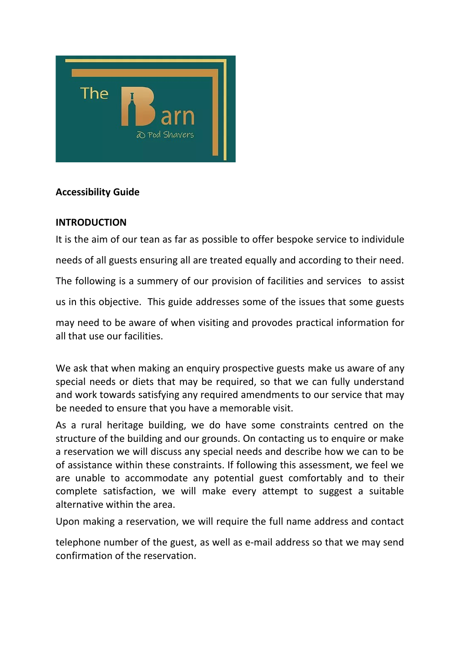

## **Accessibility Guide**

## **INTRODUCTION**

It is the aim of our tean as far as possible to offer bespoke service to individule needs of all guests ensuring all are treated equally and according to their need. The following is a summery of our provision of facilities and services to assist us in this objective. This guide addresses some of the issues that some guests may need to be aware of when visiting and provodes practical information for all that use our facilities.

We ask that when making an enquiry prospective guests make us aware of any special needs or diets that may be required, so that we can fully understand and work towards satisfying any required amendments to our service that may be needed to ensure that you have a memorable visit.

As a rural heritage building, we do have some constraints centred on the structure of the building and our grounds. On contacting us to enquire or make a reservation we will discuss any special needs and describe how we can to be of assistance within these constraints. If following this assessment, we feel we are unable to accommodate any potential guest comfortably and to their complete satisfaction, we will make every attempt to suggest a suitable alternative within the area.

Upon making a reservation, we will require the full name address and contact

telephone number of the guest, as well as e-mail address so that we may send confirmation of the reservation.